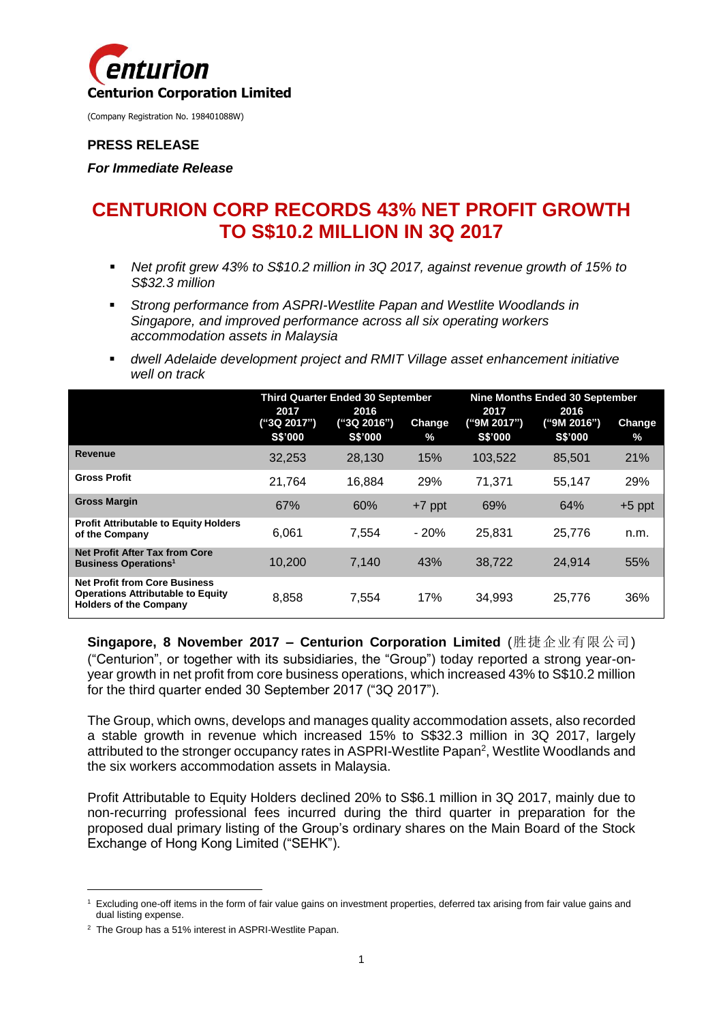

#### **PRESS RELEASE**

*For Immediate Release*

# **CENTURION CORP RECORDS 43% NET PROFIT GROWTH TO S\$10.2 MILLION IN 3Q 2017**

- *Net profit grew 43% to S\$10.2 million in 3Q 2017, against revenue growth of 15% to S\$32.3 million*
- *Strong performance from ASPRI-Westlite Papan and Westlite Woodlands in Singapore, and improved performance across all six operating workers accommodation assets in Malaysia*
- *dwell Adelaide development project and RMIT Village asset enhancement initiative well on track*

|                                                                                                                   | <b>Third Quarter Ended 30 September</b> |                                       |                       | Nine Months Ended 30 September        |                                       |                       |
|-------------------------------------------------------------------------------------------------------------------|-----------------------------------------|---------------------------------------|-----------------------|---------------------------------------|---------------------------------------|-----------------------|
|                                                                                                                   | 2017<br>("3Q 2017")<br><b>S\$'000</b>   | 2016<br>("3Q 2016")<br><b>S\$'000</b> | <b>Change</b><br>$\%$ | 2017<br>("9M 2017")<br><b>S\$'000</b> | 2016<br>("9M 2016")<br><b>S\$'000</b> | <b>Change</b><br>$\%$ |
| Revenue                                                                                                           | 32.253                                  | 28.130                                | 15%                   | 103.522                               | 85.501                                | 21%                   |
| <b>Gross Profit</b>                                                                                               | 21.764                                  | 16.884                                | 29%                   | 71.371                                | 55.147                                | 29%                   |
| <b>Gross Margin</b>                                                                                               | 67%                                     | 60%                                   | $+7$ ppt              | 69%                                   | 64%                                   | $+5$ ppt              |
| <b>Profit Attributable to Equity Holders</b><br>of the Company                                                    | 6.061                                   | 7.554                                 | $-20%$                | 25.831                                | 25,776                                | n.m.                  |
| <b>Net Profit After Tax from Core</b><br><b>Business Operations<sup>1</sup></b>                                   | 10.200                                  | 7.140                                 | 43%                   | 38,722                                | 24.914                                | 55%                   |
| <b>Net Profit from Core Business</b><br><b>Operations Attributable to Equity</b><br><b>Holders of the Company</b> | 8,858                                   | 7,554                                 | 17%                   | 34.993                                | 25.776                                | 36%                   |

**Singapore, 8 November 2017 – Centurion Corporation Limited** (胜捷企业有限公司) ("Centurion", or together with its subsidiaries, the "Group") today reported a strong year-onyear growth in net profit from core business operations, which increased 43% to S\$10.2 million for the third quarter ended 30 September 2017 ("3Q 2017").

The Group, which owns, develops and manages quality accommodation assets, also recorded a stable growth in revenue which increased 15% to S\$32.3 million in 3Q 2017, largely attributed to the stronger occupancy rates in ASPRI-Westlite Papan<sup>2</sup>, Westlite Woodlands and the six workers accommodation assets in Malaysia.

Profit Attributable to Equity Holders declined 20% to S\$6.1 million in 3Q 2017, mainly due to non-recurring professional fees incurred during the third quarter in preparation for the proposed dual primary listing of the Group's ordinary shares on the Main Board of the Stock Exchange of Hong Kong Limited ("SEHK").

1

<sup>1</sup> Excluding one-off items in the form of fair value gains on investment properties, deferred tax arising from fair value gains and dual listing expense.

<sup>&</sup>lt;sup>2</sup> The Group has a 51% interest in ASPRI-Westlite Papan.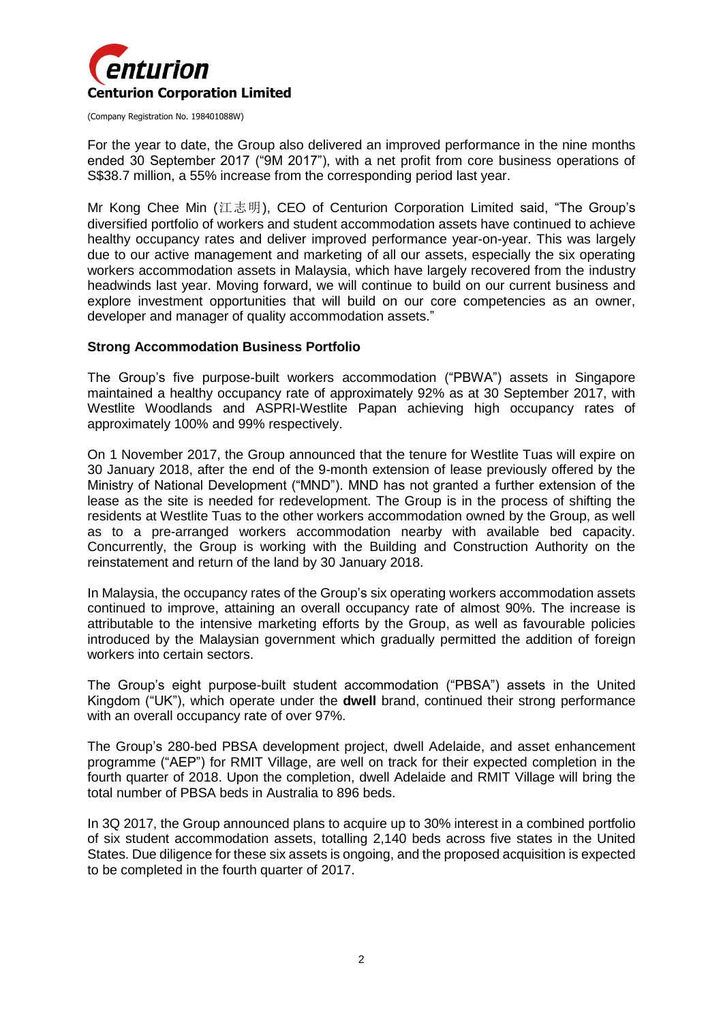

For the year to date, the Group also delivered an improved performance in the nine months ended 30 September 2017 ("9M 2017"), with a net profit from core business operations of S\$38.7 million, a 55% increase from the corresponding period last year.

Mr Kong Chee Min (江志明), CEO of Centurion Corporation Limited said, "The Group's diversified portfolio of workers and student accommodation assets have continued to achieve healthy occupancy rates and deliver improved performance year-on-year. This was largely due to our active management and marketing of all our assets, especially the six operating workers accommodation assets in Malaysia, which have largely recovered from the industry headwinds last year. Moving forward, we will continue to build on our current business and explore investment opportunities that will build on our core competencies as an owner, developer and manager of quality accommodation assets."

#### **Strong Accommodation Business Portfolio**

The Group's five purpose-built workers accommodation ("PBWA") assets in Singapore maintained a healthy occupancy rate of approximately 92% as at 30 September 2017, with Westlite Woodlands and ASPRI-Westlite Papan achieving high occupancy rates of approximately 100% and 99% respectively.

On 1 November 2017, the Group announced that the tenure for Westlite Tuas will expire on 30 January 2018, after the end of the 9-month extension of lease previously offered by the Ministry of National Development ("MND"). MND has not granted a further extension of the lease as the site is needed for redevelopment. The Group is in the process of shifting the residents at Westlite Tuas to the other workers accommodation owned by the Group, as well as to a pre-arranged workers accommodation nearby with available bed capacity. Concurrently, the Group is working with the Building and Construction Authority on the reinstatement and return of the land by 30 January 2018.

In Malaysia, the occupancy rates of the Group's six operating workers accommodation assets continued to improve, attaining an overall occupancy rate of almost 90%. The increase is attributable to the intensive marketing efforts by the Group, as well as favourable policies introduced by the Malaysian government which gradually permitted the addition of foreign workers into certain sectors.

The Group's eight purpose-built student accommodation ("PBSA") assets in the United Kingdom ("UK"), which operate under the **dwell** brand, continued their strong performance with an overall occupancy rate of over 97%.

The Group's 280-bed PBSA development project, dwell Adelaide, and asset enhancement programme ("AEP") for RMIT Village, are well on track for their expected completion in the fourth quarter of 2018. Upon the completion, dwell Adelaide and RMIT Village will bring the total number of PBSA beds in Australia to 896 beds.

In 3Q 2017, the Group announced plans to acquire up to 30% interest in a combined portfolio of six student accommodation assets, totalling 2,140 beds across five states in the United States. Due diligence for these six assets is ongoing, and the proposed acquisition is expected to be completed in the fourth quarter of 2017.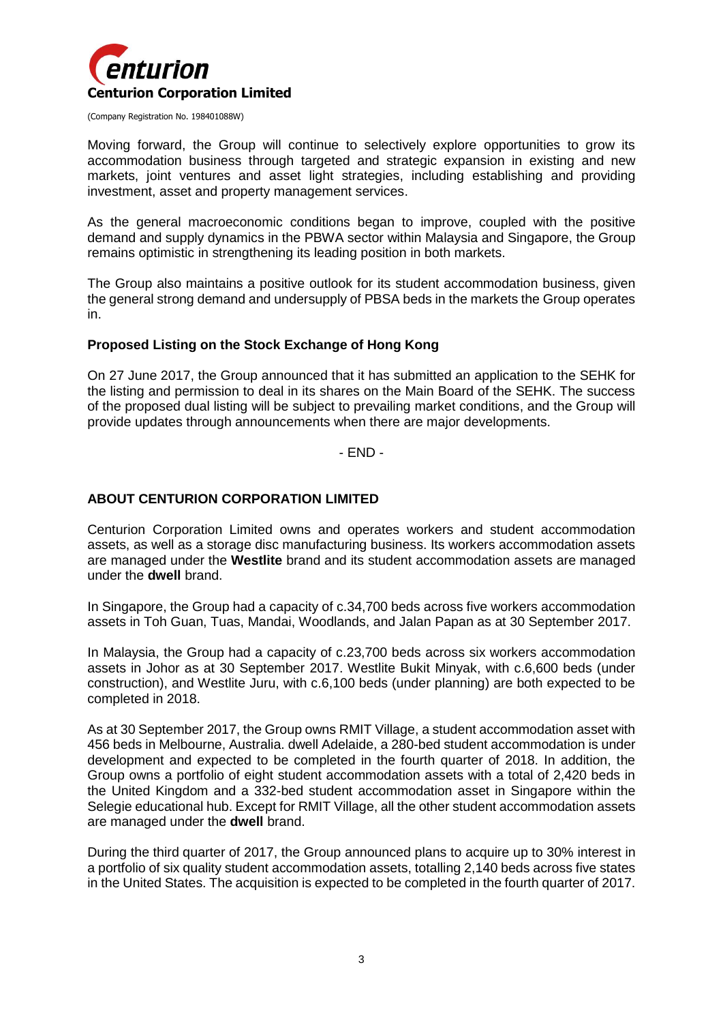

Moving forward, the Group will continue to selectively explore opportunities to grow its accommodation business through targeted and strategic expansion in existing and new markets, joint ventures and asset light strategies, including establishing and providing investment, asset and property management services.

As the general macroeconomic conditions began to improve, coupled with the positive demand and supply dynamics in the PBWA sector within Malaysia and Singapore, the Group remains optimistic in strengthening its leading position in both markets.

The Group also maintains a positive outlook for its student accommodation business, given the general strong demand and undersupply of PBSA beds in the markets the Group operates in.

## **Proposed Listing on the Stock Exchange of Hong Kong**

On 27 June 2017, the Group announced that it has submitted an application to the SEHK for the listing and permission to deal in its shares on the Main Board of the SEHK. The success of the proposed dual listing will be subject to prevailing market conditions, and the Group will provide updates through announcements when there are major developments.

- END -

### **ABOUT CENTURION CORPORATION LIMITED**

Centurion Corporation Limited owns and operates workers and student accommodation assets, as well as a storage disc manufacturing business. Its workers accommodation assets are managed under the **Westlite** brand and its student accommodation assets are managed under the **dwell** brand.

In Singapore, the Group had a capacity of c.34,700 beds across five workers accommodation assets in Toh Guan, Tuas, Mandai, Woodlands, and Jalan Papan as at 30 September 2017.

In Malaysia, the Group had a capacity of c.23,700 beds across six workers accommodation assets in Johor as at 30 September 2017. Westlite Bukit Minyak, with c.6,600 beds (under construction), and Westlite Juru, with c.6,100 beds (under planning) are both expected to be completed in 2018.

As at 30 September 2017, the Group owns RMIT Village, a student accommodation asset with 456 beds in Melbourne, Australia. dwell Adelaide, a 280-bed student accommodation is under development and expected to be completed in the fourth quarter of 2018. In addition, the Group owns a portfolio of eight student accommodation assets with a total of 2,420 beds in the United Kingdom and a 332-bed student accommodation asset in Singapore within the Selegie educational hub. Except for RMIT Village, all the other student accommodation assets are managed under the **dwell** brand.

During the third quarter of 2017, the Group announced plans to acquire up to 30% interest in a portfolio of six quality student accommodation assets, totalling 2,140 beds across five states in the United States. The acquisition is expected to be completed in the fourth quarter of 2017.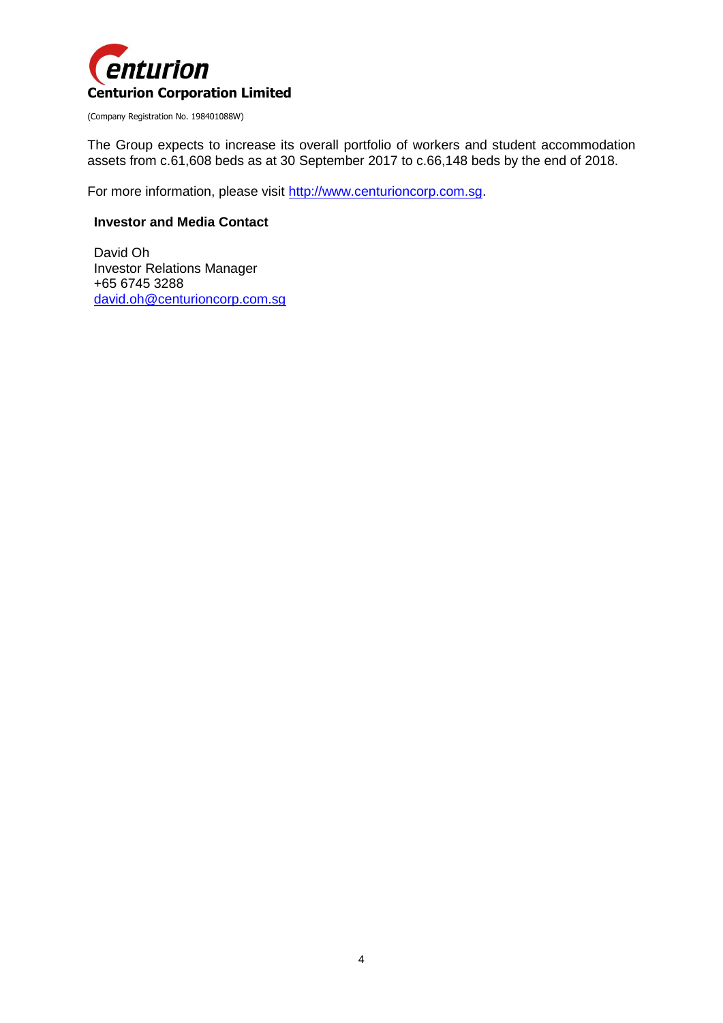

The Group expects to increase its overall portfolio of workers and student accommodation assets from c.61,608 beds as at 30 September 2017 to c.66,148 beds by the end of 2018.

For more information, please visit [http://www.centurioncorp.com.sg.](http://www.centurioncorp.com.sg/)

#### **Investor and Media Contact**

David Oh Investor Relations Manager +65 6745 3288 [david.oh@centurioncorp.com.sg](mailto:david.oh@centurioncorp.com.sg)